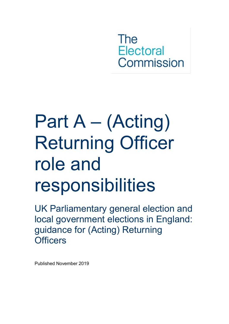The **Electoral** Commission

# Part A – (Acting) Returning Officer role and responsibilities

UK Parliamentary general election and local government elections in England: guidance for (Acting) Returning **Officers** 

Published November 2019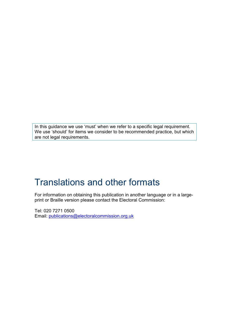In this guidance we use 'must' when we refer to a specific legal requirement. We use 'should' for items we consider to be recommended practice, but which are not legal requirements.

### Translations and other formats

For information on obtaining this publication in another language or in a largeprint or Braille version please contact the Electoral Commission:

Tel: 020 7271 0500 Email: [publications@electoralcommission.org.uk](mailto:publications@electoralcommission.org.uk)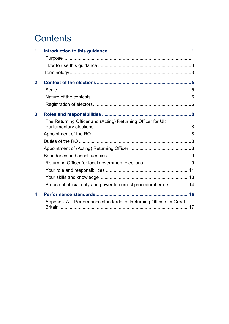### **Contents**

| 1                |                                                                    |  |
|------------------|--------------------------------------------------------------------|--|
|                  |                                                                    |  |
|                  |                                                                    |  |
|                  |                                                                    |  |
| $\mathbf 2$      |                                                                    |  |
|                  |                                                                    |  |
|                  |                                                                    |  |
|                  |                                                                    |  |
| $\mathbf{3}$     |                                                                    |  |
|                  | The Returning Officer and (Acting) Returning Officer for UK        |  |
|                  |                                                                    |  |
|                  |                                                                    |  |
|                  |                                                                    |  |
|                  |                                                                    |  |
|                  |                                                                    |  |
|                  |                                                                    |  |
|                  |                                                                    |  |
|                  |                                                                    |  |
|                  | Breach of official duty and power to correct procedural errors  14 |  |
| $\blacktriangle$ |                                                                    |  |
|                  | Appendix A - Performance standards for Returning Officers in Great |  |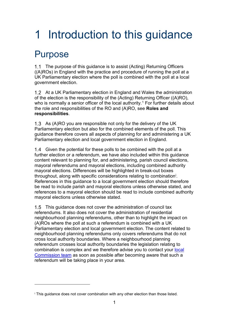## <span id="page-3-0"></span>1 Introduction to this guidance

### <span id="page-3-1"></span>Purpose

 $\overline{a}$ 

1.1 The purpose of this quidance is to assist (Acting) Returning Officers ((A)ROs) in England with the practice and procedure of running the poll at a UK Parliamentary election where the poll is combined with the poll at a local government election.

At a UK Parliamentary election in England and Wales the administration of the election is the responsibility of the (Acting) Returning Officer ((A)RO), who is normally a senior officer of the local authority.<sup>[1](#page-24-0)</sup> For further details about the role and responsibilities of the RO and (A)RO, see **[Roles and](#page-10-0)  [responsibilities](#page-10-0)**.

1.3 As (A)RO you are responsible not only for the delivery of the UK Parliamentary election but also for the combined elements of the poll. This guidance therefore covers all aspects of planning for and administering a UK Parliamentary election and local government election in England.

1.4 Given the potential for these polls to be combined with the poll at a further election or a referendum, we have also included within this guidance content relevant to planning for, and administering, parish council elections, mayoral referendums and mayoral elections, including combined authority mayoral elections. Differences will be highlighted in break-out boxes throughout, along w[i](#page-3-2)th specific considerations relating to combination<sup>i</sup>. References in this guidance to a local government election should therefore be read to include parish and mayoral elections unless otherwise stated, and references to a mayoral election should be read to include combined authority mayoral elections unless otherwise stated.

1.5 This guidance does not cover the administration of council tax referendums. It also does not cover the administration of residential neighbourhood planning referendums, other than to highlight the impact on (A)ROs where the poll at such a referendum is combined with a UK Parliamentary election and local government election. The content related to neighbourhood planning referendums only covers referendums that do not cross local authority boundaries. Where a neighbourhood planning referendum crosses local authority boundaries the legislation relating to combination is complex and we therefore advise you to contact your [local](http://www.electoralcommission.org.uk/contact-us/our-offices)  [Commission team](http://www.electoralcommission.org.uk/contact-us/our-offices) as soon as possible after becoming aware that such a referendum will be taking place in your area.

<span id="page-3-2"></span><sup>&</sup>lt;sup>i</sup> This quidance does not cover combination with any other election than those listed.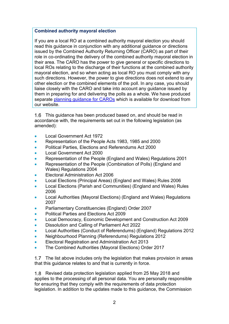#### **Combined authority mayoral election**

If you are a local RO at a combined authority mayoral election you should read this guidance in conjunction with any additional guidance or directions issued by the Combined Authority Returning Officer (CARO) as part of their role in co-ordinating the delivery of the combined authority mayoral election in their area. The CARO has the power to give general or specific directions to local ROs relating to the discharge of their functions at the combined authority mayoral election, and so when acting as local RO you must comply with any such directions. However, the power to give directions does not extend to any other election or the combined elements of the poll. In any case, you should liaise closely with the CARO and take into account any guidance issued by them in preparing for and delivering the polls as a whole. We have produced separate planning quidance for CAROs which is available for download from our website.

1.6 This guidance has been produced based on, and should be read in accordance with, the requirements set out in the following legislation (as amended):

- Local Government Act 1972
- Representation of the People Acts 1983, 1985 and 2000
- Political Parties, Elections and Referendums Act 2000
- Local Government Act 2000
- Representation of the People (England and Wales) Regulations 2001
- Representation of the People (Combination of Polls) (England and Wales) Regulations 2004
- Electoral Administration Act 2006
- Local Elections (Principal Areas) (England and Wales) Rules 2006
- Local Elections (Parish and Communities) (England and Wales) Rules 2006
- Local Authorities (Mayoral Elections) (England and Wales) Regulations 2007
- Parliamentary Constituencies (England) Order 2007
- Political Parties and Elections Act 2009
- Local Democracy, Economic Development and Construction Act 2009
- Dissolution and Calling of Parliament Act 2022
- Local Authorities (Conduct of Referendums) (England) Regulations 2012
- Neighbourhood Planning (Referendums) Regulations 2012
- Electoral Registration and Administration Act 2013
- The Combined Authorities (Mayoral Elections) Order 2017

1.7 The list above includes only the legislation that makes provision in areas that this guidance relates to and that is currently in force.

1.8 Revised data protection legislation applied from 25 May 2018 and applies to the processing of all personal data. You are personally responsible for ensuring that they comply with the requirements of data protection legislation. In addition to the updates made to this guidance, the Commission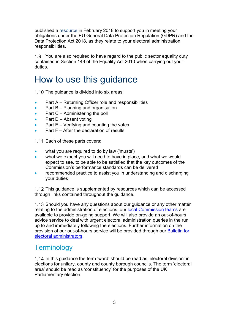published a [resource](http://www.electoralcommission.org.uk/__data/assets/word_doc/0007/239587/EU-General-Data-Protection-Regulation-FACTSHEET.doc) in February 2018 to support you in meeting your obligations under the EU General Data Protection Regulation (GDPR) and the Data Protection Act 2018, as they relate to your electoral administration responsibilities.

You are also required to have regard to the public sector equality duty contained in Section 149 of the Equality Act 2010 when carrying out your duties.

### <span id="page-5-0"></span>How to use this guidance

1.10 The guidance is divided into six areas:

- Part A Returning Officer role and responsibilities
- Part B Planning and organisation
- Part C Administering the poll
- Part D Absent voting
- Part  $E -$  Verifying and counting the votes
- Part F After the declaration of results

1.11 Each of these parts covers:

- what you are required to do by law ('musts')
- what we expect you will need to have in place, and what we would expect to see, to be able to be satisfied that the key outcomes of the Commission's performance standards can be delivered
- recommended practice to assist you in understanding and discharging your duties

1.12 This guidance is supplemented by resources which can be accessed through links contained throughout the guidance.

1.13 Should you have any questions about our guidance or any other matter relating to the administration of elections, our local [Commission](http://www.electoralcommission.org.uk/contact-us/our-offices) teams are available to provide on-going support. We will also provide an out-of-hours advice service to deal with urgent electoral administration queries in the run up to and immediately following the elections. Further information on the provision of our out-of-hours service will be provided through our [Bulletin for](http://www.electoralcommission.org.uk/i-am-a/electoral-administrator/bulletins-and-circulars)  [electoral administrators.](http://www.electoralcommission.org.uk/i-am-a/electoral-administrator/bulletins-and-circulars)

#### <span id="page-5-1"></span>**Terminology**

1.14 In this guidance the term 'ward' should be read as 'electoral division' in elections for unitary, county and county borough councils. The term 'electoral area' should be read as 'constituency' for the purposes of the UK Parliamentary election.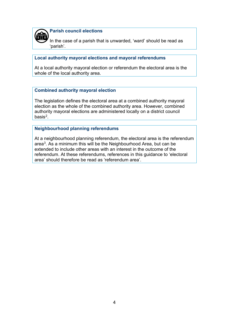

**Parish council elections**

In the case of a parish that is unwarded, 'ward' should be read as 'parish'.

#### **Local authority mayoral elections and mayoral referendums**

At a local authority mayoral election or referendum the electoral area is the whole of the local authority area.

#### **Combined authority mayoral election**

The legislation defines the electoral area at a combined authority mayoral election as the whole of the combined authority area. However, combined authority mayoral elections are administered locally on a district council basis[2.](#page-24-1)

#### **Neighbourhood planning referendums**

At a neighbourhood planning referendum, the electoral area is the referendum area[3.](#page-24-2) As a minimum this will be the Neighbourhood Area, but can be extended to include other areas with an interest in the outcome of the referendum. At these referendums, references in this guidance to 'electoral area' should therefore be read as 'referendum area'.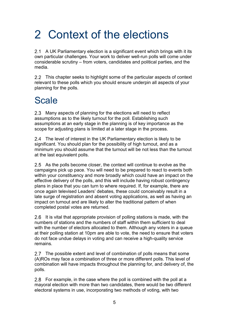## <span id="page-7-0"></span>2 Context of the elections

2.1 A UK Parliamentary election is a significant event which brings with it its own particular challenges. Your work to deliver well-run polls will come under considerable scrutiny – from voters, candidates and political parties, and the media.

2.2 This chapter seeks to highlight some of the particular aspects of context relevant to these polls which you should ensure underpin all aspects of your planning for the polls.

### <span id="page-7-1"></span>Scale

2.3 Many aspects of planning for the elections will need to reflect assumptions as to the likely turnout for the poll. Establishing such assumptions at an early stage in the planning is of key importance as the scope for adjusting plans is limited at a later stage in the process.

2.4 The level of interest in the UK Parliamentary election is likely to be significant. You should plan for the possibility of high turnout, and as a minimum you should assume that the turnout will be not less than the turnout at the last equivalent polls.

2.5 As the polls become closer, the context will continue to evolve as the campaigns pick up pace. You will need to be prepared to react to events both within your constituency and more broadly which could have an impact on the effective delivery of the polls, and this will include having robust contingency plans in place that you can turn to where required. If, for example, there are once again televised Leaders' debates, these could conceivably result in a late surge of registration and absent voting applications, as well as having an impact on turnout and are likely to alter the traditional pattern of when completed postal votes are returned.

2.6 It is vital that appropriate provision of polling stations is made, with the numbers of stations and the numbers of staff within them sufficient to deal with the number of electors allocated to them. Although any voters in a queue at their polling station at 10pm are able to vote, the need to ensure that voters do not face undue delays in voting and can receive a high-quality service remains.

2.7 The possible extent and level of combination of polls means that some (A)ROs may face a combination of three or more different polls. This level of combination will have impacts throughout the planning for, and delivery of, the polls.

2.8 For example, in the case where the poll is combined with the poll at a mayoral election with more than two candidates, there would be two different electoral systems in use, incorporating two methods of voting, with two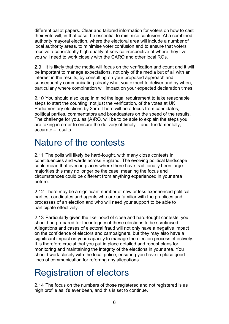different ballot papers. Clear and tailored information for voters on how to cast their vote will, in that case, be essential to minimise confusion. At a combined authority mayoral election, where the electoral area will include a number of local authority areas, to minimise voter confusion and to ensure that voters receive a consistently high quality of service irrespective of where they live, you will need to work closely with the CARO and other local ROs.

2.9 It is likely that the media will focus on the verification and count and it will be important to manage expectations, not only of the media but of all with an interest in the results, by consulting on your proposed approach and subsequently communicating clearly what you expect to deliver and by when, particularly where combination will impact on your expected declaration times.

2.10 You should also keep in mind the legal requirement to take reasonable steps to start the counting, not just the verification, of the votes at UK Parliamentary elections by 2am. There will be a focus from candidates, political parties, commentators and broadcasters on the speed of the results. The challenge for you, as (A)RO, will be to be able to explain the steps you are taking in order to ensure the delivery of timely – and, fundamentally, accurate – results.

### <span id="page-8-0"></span>Nature of the contests

2.11 The polls will likely be hard-fought, with many close contests in constituencies and wards across England. The evolving political landscape could mean that even in places where there have traditionally been large majorities this may no longer be the case, meaning the focus and circumstances could be different from anything experienced in your area before.

2.12 There may be a significant number of new or less experienced political parties, candidates and agents who are unfamiliar with the practices and processes of an election and who will need your support to be able to participate effectively.

2.13 Particularly given the likelihood of close and hard-fought contests, you should be prepared for the integrity of these elections to be scrutinised. Allegations and cases of electoral fraud will not only have a negative impact on the confidence of electors and campaigners, but they may also have a significant impact on your capacity to manage the election process effectively. It is therefore crucial that you put in place detailed and robust plans for monitoring and maintaining the integrity of the elections in your area. You should work closely with the local police, ensuring you have in place good lines of communication for referring any allegations.

### <span id="page-8-1"></span>Registration of electors

2.14 The focus on the numbers of those registered and not registered is as high profile as it's ever been, and this is set to continue.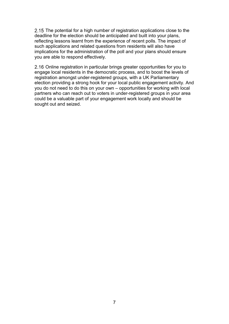2.15 The potential for a high number of registration applications close to the deadline for the election should be anticipated and built into your plans, reflecting lessons learnt from the experience of recent polls. The impact of such applications and related questions from residents will also have implications for the administration of the poll and your plans should ensure you are able to respond effectively.

2.16 Online registration in particular brings greater opportunities for you to engage local residents in the democratic process, and to boost the levels of registration amongst under-registered groups, with a UK Parliamentary election providing a strong hook for your local public engagement activity. And you do not need to do this on your own – opportunities for working with local partners who can reach out to voters in under-registered groups in your area could be a valuable part of your engagement work locally and should be sought out and seized.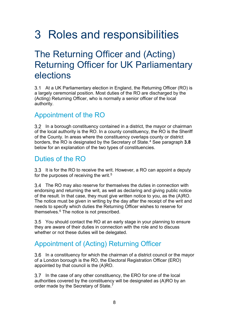## <span id="page-10-0"></span>3 Roles and responsibilities

### <span id="page-10-1"></span>The Returning Officer and (Acting) Returning Officer for UK Parliamentary elections

3.1 At a UK Parliamentary election in England, the Returning Officer (RO) is a largely ceremonial position. Most duties of the RO are discharged by the (Acting) Returning Officer, who is normally a senior officer of the local authority.

#### <span id="page-10-2"></span>Appointment of the RO

3.2 In a borough constituency contained in a district, the mayor or chairman of the local authority is the RO. In a county constituency, the RO is the Sheriff of the County. In areas where the constituency overlaps county or district borders, the RO is designated by the Secretary of State.[4](#page-24-3) See paragraph **[3.8](#page-11-2)** below for an explanation of the two types of constituencies.

#### <span id="page-10-3"></span>Duties of the RO

3.3 It is for the RO to receive the writ. However, a RO can appoint a deputy for the purposes of receiving the writ. $^5$  $^5$ 

3.4 The RO may also reserve for themselves the duties in connection with endorsing and returning the writ, as well as declaring and giving public notice of the result. In that case, they must give written notice to you, as the (A)RO. The notice must be given in writing by the day after the receipt of the writ and needs to specify which duties the Returning Officer wishes to reserve for themselves.<sup>[6](#page-24-5)</sup> The notice is not prescribed.

You should contact the RO at an early stage in your planning to ensure they are aware of their duties in connection with the role and to discuss whether or not these duties will be delegated.

### <span id="page-10-4"></span>Appointment of (Acting) Returning Officer

In a constituency for which the chairman of a district council or the mayor of a London borough is the RO, the Electoral Registration Officer (ERO) appointed by that council is the (A)RO.

3.7 In the case of any other constituency, the ERO for one of the local authorities covered by the constituency will be designated as (A)RO by an order made by the Secretary of State.<sup>[7](#page-24-6)</sup>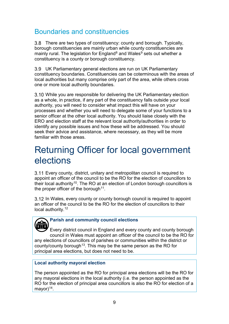### <span id="page-11-0"></span>Boundaries and constituencies

<span id="page-11-2"></span>3.8 There are two types of constituency: county and borough. Typically, borough constituencies are mainly urban while county constituencies are mainly rural. The legislation for  $End<sup>8</sup>$  $End<sup>8</sup>$  $End<sup>8</sup>$  and Wales<sup>[9](#page-24-8)</sup> sets out whether a constituency is a county or borough constituency.

UK Parliamentary general elections are run on UK Parliamentary constituency boundaries. Constituencies can be coterminous with the areas of local authorities but many comprise only part of the area, while others cross one or more local authority boundaries.

3.10 While you are responsible for delivering the UK Parliamentary election as a whole, in practice, if any part of the constituency falls outside your local authority, you will need to consider what impact this will have on your processes and whether you will need to delegate some of your functions to a senior officer at the other local authority. You should liaise closely with the ERO and election staff at the relevant local authority/authorities in order to identify any possible issues and how these will be addressed. You should seek their advice and assistance, where necessary, as they will be more familiar with those areas.

### <span id="page-11-1"></span>Returning Officer for local government elections

Every county, district, unitary and metropolitan council is required to appoint an officer of the council to be the RO for the election of councillors to their local authority<sup>[10](#page-24-9)</sup>. The RO at an election of London borough councillors is the proper officer of the borough  $11$ .

3.12 In Wales, every county or county borough council is required to appoint an officer of the council to be the RO for the election of councillors to their local authority.<sup>[12](#page-24-11)</sup>

#### **Parish and community council elections**

Every district council in England and every county and county borough council in Wales must appoint an officer of the council to be the RO for any elections of councillors of parishes or communities within the district or county/county borough<sup>13</sup>. This may be the same person as the RO for principal area elections, but does not need to be.  $\bigoplus$ 

#### **Local authority mayoral election**

The person appointed as the RO for principal area elections will be the RO for any mayoral elections in the local authority (i.e. the person appointed as the RO for the election of principal area councillors is also the RO for election of a mayor $)^{14}$ .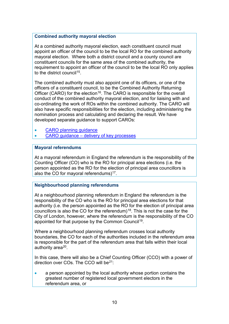#### **Combined authority mayoral election**

At a combined authority mayoral election, each constituent council must appoint an officer of the council to be the local RO for the combined authority mayoral election. Where both a district council and a county council are constituent councils for the same area of the combined authority, the requirement to appoint an officer of the council to be the local RO only applies to the district council<sup>15</sup>.

The combined authority must also appoint one of its officers, or one of the officers of a constituent council, to be the Combined Authority Returning Officer (CARO) for the election<sup>16</sup>. The CARO is responsible for the overall conduct of the combined authority mayoral election, and for liaising with and co-ordinating the work of ROs within the combined authority. The CARO will also have specific responsibilities for the election, including administering the nomination process and calculating and declaring the result. We have developed separate guidance to support CAROs:

- CARO planning quidance
- [CARO guidance delivery of key processes](http://www.electoralcommission.org.uk/__data/assets/pdf_file/0018/214461/CAM-Guidance-delivery-of-key-processes-for-CAROs.pdf)

#### **Mayoral referendums**

At a mayoral referendum in England the referendum is the responsibility of the Counting Officer (CO) who is the RO for principal area elections (i.e. the person appointed as the RO for the election of principal area councillors is also the CO for mayoral referendums) $17$ .

#### **Neighbourhood planning referendums**

At a neighbourhood planning referendum in England the referendum is the responsibility of the CO who is the RO for principal area elections for that authority (i.e. the person appointed as the RO for the election of principal area councillors is also the CO for the referendum)<sup>18</sup>. This is not the case for the City of London, however, where the referendum is the responsibility of the CO appointed for that purpose by the Common Council<sup>19</sup>.

Where a neighbourhood planning referendum crosses local authority boundaries, the CO for each of the authorities included in the referendum area is responsible for the part of the referendum area that falls within their local authority area<sup>20</sup>.

In this case, there will also be a Chief Counting Officer (CCO) with a power of direction over COs. The CCO will be<sup>21</sup>:

• a person appointed by the local authority whose portion contains the greatest number of registered local government electors in the referendum area, or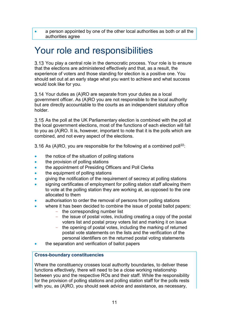a person appointed by one of the other local authorities as both or all the authorities agree

### <span id="page-13-0"></span>Your role and responsibilities

3.13 You play a central role in the democratic process. Your role is to ensure that the elections are administered effectively and that, as a result, the experience of voters and those standing for election is a positive one. You should set out at an early stage what you want to achieve and what success would look like for you.

3.14 Your duties as (A)RO are separate from your duties as a local government officer. As (A)RO you are not responsible to the local authority but are directly accountable to the courts as an independent statutory office holder.

3.15 As the poll at the UK Parliamentary election is combined with the poll at the local government elections, most of the functions of each election will fall to you as (A)RO. It is, however, important to note that it is the polls which are combined, and not every aspect of the elections.

3.16 As (A)RO, you are responsible for the following at a combined poll<sup>22</sup>:

- the notice of the situation of polling stations
- the provision of polling stations
- the appointment of Presiding Officers and Poll Clerks
- the equipment of polling stations
- giving the notification of the requirement of secrecy at polling stations
- signing certificates of employment for polling station staff allowing them to vote at the polling station they are working at, as opposed to the one allocated to them
- authorisation to order the removal of persons from polling stations
- where it has been decided to combine the issue of postal ballot papers:
	- the corresponding number list
	- the issue of postal votes, including creating a copy of the postal voters list and postal proxy voters list and marking it on issue
	- the opening of postal votes, including the marking of returned postal vote statements on the lists and the verification of the personal identifiers on the returned postal voting statements
- the separation and verification of ballot papers

#### **Cross-boundary constituencies**

Where the constituency crosses local authority boundaries, to deliver these functions effectively, there will need to be a close working relationship between you and the respective ROs and their staff. While the responsibility for the provision of polling stations and polling station staff for the polls rests with you, as (A)RO, you should seek advice and assistance, as necessary,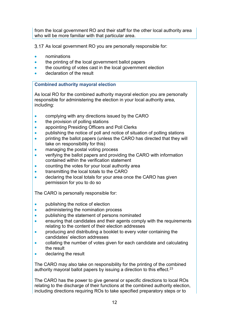from the local government RO and their staff for the other local authority area who will be more familiar with that particular area.

3.17 As local government RO you are personally responsible for:

- nominations
- the printing of the local government ballot papers
- the counting of votes cast in the local government election
- declaration of the result

#### **Combined authority mayoral election**

As local RO for the combined authority mayoral election you are personally responsible for administering the election in your local authority area, including:

- complying with any directions issued by the CARO
- the provision of polling stations
- appointing Presiding Officers and Poll Clerks
- publishing the notice of poll and notice of situation of polling stations
- printing the ballot papers (unless the CARO has directed that they will take on responsibility for this)
- managing the postal voting process
- verifying the ballot papers and providing the CARO with information contained within the verification statement
- counting the votes for your local authority area
- transmitting the local totals to the CARO
- declaring the local totals for your area once the CARO has given permission for you to do so

The CARO is personally responsible for:

- publishing the notice of election
- administering the nomination process
- publishing the statement of persons nominated
- ensuring that candidates and their agents comply with the requirements relating to the content of their election addresses
- producing and distributing a booklet to every voter containing the candidates' election addresses
- collating the number of votes given for each candidate and calculating the result
- declaring the result

The CARO may also take on responsibility for the printing of the combined authority mayoral ballot papers by issuing a direction to this effect. $23$ 

The CARO has the power to give general or specific directions to local ROs relating to the discharge of their functions at the combined authority election, including directions requiring ROs to take specified preparatory steps or to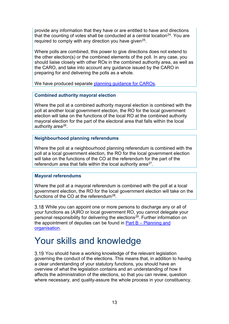provide any information that they have or are entitled to have and directions that the counting of votes shall be conducted at a central location<sup>[24](#page-24-23)</sup>. You are required to comply with any direction you have given<sup>[25](#page-24-24)</sup>.

Where polls are combined, this power to give directions does not extend to the other election(s) or the combined elements of the poll. In any case, you should liaise closely with other ROs in the combined authority area, as well as the CARO, and take into account any guidance issued by the CARO in preparing for and delivering the polls as a whole.

We have produced separate planning quidance for CAROs.

#### **Combined authority mayoral election**

Where the poll at a combined authority mayoral election is combined with the poll at another local government election, the RO for the local government election will take on the functions of the local RO at the combined authority mayoral election for the part of the electoral area that falls within the local authority area<sup>26</sup>.

#### **Neighbourhood planning referendums**

Where the poll at a neighbourhood planning referendum is combined with the poll at a local government election, the RO for the local government election will take on the functions of the CO at the referendum for the part of the referendum area that falls within the local authority area<sup>27</sup>.

#### **Mayoral referendums**

Where the poll at a mayoral referendum is combined with the poll at a local government election, the RO for the local government election will take on the functions of the CO at the referendum<sup>[28](#page-24-27)</sup>.

3.18 While you can appoint one or more persons to discharge any or all of your functions as (A)RO or local government RO, you cannot delegate your personal responsibility for delivering the elections[29.](#page-24-28) Further information on the appointment of deputies can be found in Part  $B -$  Planning and [organisation.](http://www.electoralcommission.org.uk/__data/assets/pdf_file/0004/175369/UKPGE-LGE-Part-B-Planning-and-organisation.pdf)

### <span id="page-15-0"></span>Your skills and knowledge

3.19 You should have a working knowledge of the relevant legislation governing the conduct of the elections. This means that, in addition to having a clear understanding of your statutory functions, you should have an overview of what the legislation contains and an understanding of how it affects the administration of the elections, so that you can review, question where necessary, and quality-assure the whole process in your constituency.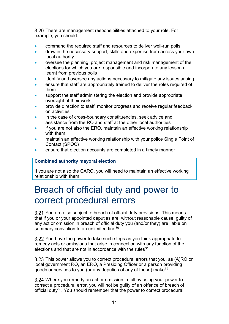3.20 There are management responsibilities attached to your role. For example, you should:

- command the required staff and resources to deliver well-run polls
- draw in the necessary support, skills and expertise from across your own local authority
- oversee the planning, project management and risk management of the elections for which you are responsible and incorporate any lessons learnt from previous polls
- identify and oversee any actions necessary to mitigate any issues arising
- ensure that staff are appropriately trained to deliver the roles required of them
- support the staff administering the election and provide appropriate oversight of their work
- provide direction to staff, monitor progress and receive regular feedback on activities
- in the case of cross-boundary constituencies, seek advice and assistance from the RO and staff at the other local authorities
- if you are not also the ERO, maintain an effective working relationship with them
- maintain an effective working relationship with your police Single Point of Contact (SPOC)
- ensure that election accounts are completed in a timely manner

#### **Combined authority mayoral election**

If you are not also the CARO, you will need to maintain an effective working relationship with them.

### <span id="page-16-0"></span>Breach of official duty and power to correct procedural errors

3.21 You are also subject to breach of official duty provisions. This means that if you or your appointed deputies are, without reasonable cause, guilty of any act or omission in breach of official duty you (and/or they) are liable on summary conviction to an unlimited fine<sup>[30](#page-24-29)</sup>.

3.22 You have the power to take such steps as you think appropriate to remedy acts or omissions that arise in connection with any function of the elections and that are not in accordance with the rules  $31$ .

3.23 This power allows you to correct procedural errors that you, as (A)RO or local government RO, an ERO, a Presiding Officer or a person providing goods or services to you (or any deputies of any of these) make<sup>32</sup>.

Where you remedy an act or omission in full by using your power to correct a procedural error, you will not be guilty of an offence of breach of official duty<sup>[33](#page-25-2)</sup>. You should remember that the power to correct procedural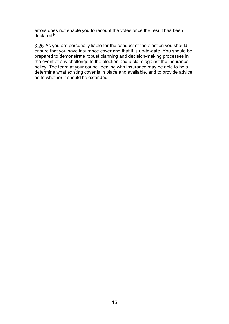errors does not enable you to recount the votes once the result has been declare[d34](#page-25-3).

3.25 As you are personally liable for the conduct of the election you should ensure that you have insurance cover and that it is up-to-date. You should be prepared to demonstrate robust planning and decision-making processes in the event of any challenge to the election and a claim against the insurance policy. The team at your council dealing with insurance may be able to help determine what existing cover is in place and available, and to provide advice as to whether it should be extended.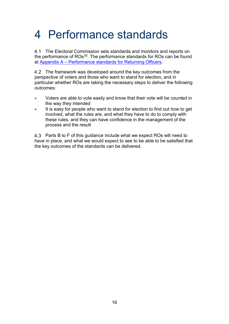## <span id="page-18-0"></span>4 Performance standards

4.1 The Electoral Commission sets standards and monitors and reports on the performance of ROs<sup>[35](#page-25-4)</sup>. The performance standards for ROs can be found at [Appendix A – Performance standards for Returning Officers.](#page-18-1)

4.2 The framework was developed around the key outcomes from the perspective of voters and those who want to stand for election, and in particular whether ROs are taking the necessary steps to deliver the following outcomes:

- Voters are able to vote easily and know that their vote will be counted in the way they intended
- It is easy for people who want to stand for election to find out how to get involved, what the rules are, and what they have to do to comply with these rules, and they can have confidence in the management of the process and the result

<span id="page-18-1"></span>4.3 Parts B to F of this guidance include what we expect ROs will need to have in place, and what we would expect to see to be able to be satisfied that the key outcomes of the standards can be delivered.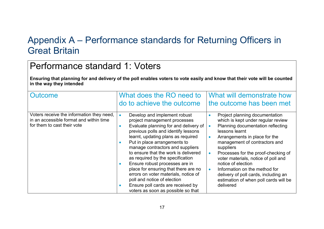### Appendix A – Performance standards for Returning Officers in Great Britain

### Performance standard 1: Voters

**Ensuring that planning for and delivery of the poll enables voters to vote easily and know that their vote will be counted in the way they intended**

<span id="page-19-0"></span>

| Outcome                                                                                                             | What does the RO need to<br>do to achieve the outcome                                                                                                                                                                                                                                                                                                                                                                                                                                                                                                                                    | What will demonstrate how<br>the outcome has been met                                                                                                                                                                                                                                                                                                                                                                                                                   |
|---------------------------------------------------------------------------------------------------------------------|------------------------------------------------------------------------------------------------------------------------------------------------------------------------------------------------------------------------------------------------------------------------------------------------------------------------------------------------------------------------------------------------------------------------------------------------------------------------------------------------------------------------------------------------------------------------------------------|-------------------------------------------------------------------------------------------------------------------------------------------------------------------------------------------------------------------------------------------------------------------------------------------------------------------------------------------------------------------------------------------------------------------------------------------------------------------------|
| Voters receive the information they need,<br>in an accessible format and within time<br>for them to cast their vote | Develop and implement robust<br>$\bullet$<br>project management processes<br>Evaluate planning for and delivery of<br>$\bullet$<br>previous polls and identify lessons<br>learnt, updating plans as required<br>Put in place arrangements to<br>manage contractors and suppliers<br>to ensure that the work is delivered<br>as required by the specification<br>Ensure robust processes are in<br>place for ensuring that there are no<br>errors on voter materials, notice of<br>poll and notice of election<br>Ensure poll cards are received by<br>voters as soon as possible so that | Project planning documentation<br>$\bullet$<br>which is kept under regular review<br>Planning documentation reflecting<br>lessons learnt<br>Arrangements in place for the<br>management of contractors and<br>suppliers<br>Processes for the proof-checking of<br>voter materials, notice of poll and<br>notice of election<br>Information on the method for<br>$\bullet$<br>delivery of poll cards, including an<br>estimation of when poll cards will be<br>delivered |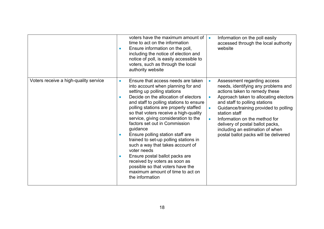|                                       | $\bullet$ | voters have the maximum amount of $\vert$<br>time to act on the information<br>Ensure information on the poll,<br>including the notice of election and<br>notice of poll, is easily accessible to<br>voters, such as through the local<br>authority website                                                                                                                                                                                                                                                                                                                                                                                                     | Information on the poll easily<br>accessed through the local authority<br>website                                                                                                                                                                                                                                                                                                        |
|---------------------------------------|-----------|-----------------------------------------------------------------------------------------------------------------------------------------------------------------------------------------------------------------------------------------------------------------------------------------------------------------------------------------------------------------------------------------------------------------------------------------------------------------------------------------------------------------------------------------------------------------------------------------------------------------------------------------------------------------|------------------------------------------------------------------------------------------------------------------------------------------------------------------------------------------------------------------------------------------------------------------------------------------------------------------------------------------------------------------------------------------|
| Voters receive a high-quality service | $\bullet$ | Ensure that access needs are taken<br>into account when planning for and<br>setting up polling stations<br>Decide on the allocation of electors<br>and staff to polling stations to ensure<br>polling stations are properly staffed<br>so that voters receive a high-quality<br>service, giving consideration to the<br>factors set out in Commission<br>guidance<br>Ensure polling station staff are<br>trained to set-up polling stations in<br>such a way that takes account of<br>voter needs<br>Ensure postal ballot packs are<br>received by voters as soon as<br>possible so that voters have the<br>maximum amount of time to act on<br>the information | Assessment regarding access<br>needs, identifying any problems and<br>actions taken to remedy these<br>Approach taken to allocating electors<br>and staff to polling stations<br>Guidance/training provided to polling<br>station staff<br>Information on the method for<br>delivery of postal ballot packs,<br>including an estimation of when<br>postal ballot packs will be delivered |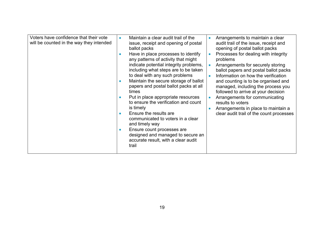| Voters have confidence that their vote<br>will be counted in the way they intended | Maintain a clear audit trail of the<br>$\bullet$<br>issue, receipt and opening of postal<br>ballot packs<br>Have in place processes to identify<br>any patterns of activity that might<br>indicate potential integrity problems,<br>including what steps are to be taken<br>to deal with any such problems<br>Maintain the secure storage of ballot<br>papers and postal ballot packs at all<br>times<br>Put in place appropriate resources<br>to ensure the verification and count<br>is timely<br>Ensure the results are<br>$\bullet$<br>communicated to voters in a clear<br>and timely way<br>Ensure count processes are<br>$\bullet$<br>designed and managed to secure an<br>accurate result, with a clear audit<br>trail | Arrangements to maintain a clear<br>$\bullet$<br>audit trail of the issue, receipt and<br>opening of postal ballot packs<br>Processes for dealing with integrity<br>$\bullet$<br>problems<br>Arrangements for securely storing<br>$\bullet$<br>ballot papers and postal ballot packs<br>Information on how the verification<br>$\bullet$<br>and counting is to be organised and<br>managed, including the process you<br>followed to arrive at your decision<br>Arrangements for communicating<br>results to voters<br>Arrangements in place to maintain a<br>$\bullet$<br>clear audit trail of the count processes |
|------------------------------------------------------------------------------------|--------------------------------------------------------------------------------------------------------------------------------------------------------------------------------------------------------------------------------------------------------------------------------------------------------------------------------------------------------------------------------------------------------------------------------------------------------------------------------------------------------------------------------------------------------------------------------------------------------------------------------------------------------------------------------------------------------------------------------|---------------------------------------------------------------------------------------------------------------------------------------------------------------------------------------------------------------------------------------------------------------------------------------------------------------------------------------------------------------------------------------------------------------------------------------------------------------------------------------------------------------------------------------------------------------------------------------------------------------------|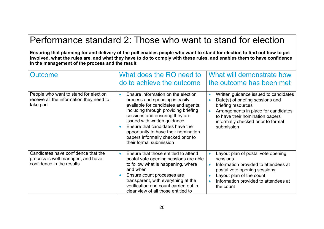### Performance standard 2: Those who want to stand for election

**Ensuring that planning for and delivery of the poll enables people who want to stand for election to find out how to get involved, what the rules are, and what they have to do to comply with these rules, and enables them to have confidence in the management of the process and the result**

| <b>Outcome</b>                                                                                        | What does the RO need to<br>do to achieve the outcome                                                                                                                                                                                                                                                                                                                           | What will demonstrate how<br>the outcome has been met                                                                                                                                                                                                         |
|-------------------------------------------------------------------------------------------------------|---------------------------------------------------------------------------------------------------------------------------------------------------------------------------------------------------------------------------------------------------------------------------------------------------------------------------------------------------------------------------------|---------------------------------------------------------------------------------------------------------------------------------------------------------------------------------------------------------------------------------------------------------------|
| People who want to stand for election<br>receive all the information they need to<br>take part        | Ensure information on the election<br>$\bullet$<br>process and spending is easily<br>available for candidates and agents,<br>including through providing briefing<br>sessions and ensuring they are<br>issued with written guidance<br>Ensure that candidates have the<br>opportunity to have their nomination<br>papers informally checked prior to<br>their formal submission | Written guidance issued to candidates<br>$\bullet$<br>Date(s) of briefing sessions and<br>Ċ<br>briefing resources<br>Arrangements in place for candidates<br>$\bullet$<br>to have their nomination papers<br>informally checked prior to formal<br>submission |
| Candidates have confidence that the<br>process is well-managed, and have<br>confidence in the results | Ensure that those entitled to attend<br>$\bullet$<br>postal vote opening sessions are able<br>to follow what is happening, where<br>and when<br>Ensure count processes are<br>transparent, with everything at the<br>verification and count carried out in<br>clear view of all those entitled to                                                                               | Layout plan of postal vote opening<br>$\bullet$<br>sessions<br>Information provided to attendees at<br>$\bullet$<br>postal vote opening sessions<br>Layout plan of the count<br>$\bullet$<br>Information provided to attendees at<br>$\bullet$<br>the count   |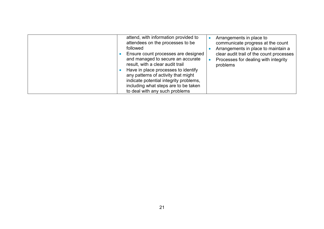| attend, with information provided to<br>attendees on the processes to be<br>followed<br>Ensure count processes are designed<br>and managed to secure an accurate<br>result, with a clear audit trail<br>Have in place processes to identify<br>any patterns of activity that might<br>indicate potential integrity problems,<br>including what steps are to be taken<br>to deal with any such problems | Arrangements in place to<br>communicate progress at the count<br>Arrangements in place to maintain a<br>clear audit trail of the count processes<br>Processes for dealing with integrity<br>$\bullet$<br>problems |
|--------------------------------------------------------------------------------------------------------------------------------------------------------------------------------------------------------------------------------------------------------------------------------------------------------------------------------------------------------------------------------------------------------|-------------------------------------------------------------------------------------------------------------------------------------------------------------------------------------------------------------------|
|--------------------------------------------------------------------------------------------------------------------------------------------------------------------------------------------------------------------------------------------------------------------------------------------------------------------------------------------------------------------------------------------------------|-------------------------------------------------------------------------------------------------------------------------------------------------------------------------------------------------------------------|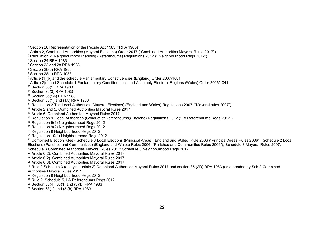$\overline{a}$ 

- Section 23 and 28 RPA 1983
- <span id="page-24-5"></span><span id="page-24-4"></span>Section 28(3) RPA 1983
- <span id="page-24-6"></span>Section 28(1) RPA 1983
- <span id="page-24-7"></span><sup>8</sup> Article (1)(b) and the schedule Parliamentary Constituencies (England) Order 2007/1681
- <span id="page-24-9"></span><span id="page-24-8"></span><sup>9</sup> Article 2(c) and Schedule 1 Parliamentary Constituencies and Assembly Electoral Regions (Wales) Order 2006/1041
- Section 35(1) RPA 1983
- <span id="page-24-10"></span>Section 35(3) RPA 1983
- <span id="page-24-11"></span>Section 35(1A) RPA 1983
- Section 35(1) and (1A) RPA 1983
- <span id="page-24-13"></span><span id="page-24-12"></span>Regulation 2 The Local Authorities (Mayoral Elections) (England and Wales) Regulations 2007 ("Mayoral rules 2007")
- <span id="page-24-14"></span>Article 2 and 5, Combined Authorities Mayoral Rules 2017
- Article 6, Combined Authorities Mayoral Rules 2017
- <span id="page-24-16"></span><span id="page-24-15"></span>Regulation 9, Local Authorities (Conduct of Referendums)(England) Regulations 2012 ("LA Referendums Regs 2012")
- <span id="page-24-17"></span><sup>18</sup> Regulation 9(1) Neighbourhood Regs 2012
- <span id="page-24-18"></span><sup>19</sup> Regulation 9(2) Neighbourhood Regs 2012
- <span id="page-24-19"></span>Regulation 9 Neighbourhood Regs 2012
- <span id="page-24-20"></span><sup>21</sup> Regulation 10(4) Neighbourhood Regs 2012
- <span id="page-24-21"></span><sup>22</sup> Combined Election rules - Schedule 3 Local Elections (Principal Areas) (England and Wales) Rule 2006 ("Principal Areas Rules 2006"); Schedule 2 Local Elections (Parishes and Communities) (England and Wales) Rules 2006 ("Parishes and Communities Rules 2006"); Schedule 3 Mayoral Rules 2007; Schedule 3 Combined Authorities Mayoral Rules 2017; Schedule 3 Neighbourhood Regs 2012
- <span id="page-24-22"></span>Article 6(2), Combined Authorities Mayoral Rules 2017
- <span id="page-24-23"></span><sup>24</sup> Article  $6(2)$ , Combined Authorities Mayoral Rules 2017
- <span id="page-24-24"></span>Article 6(3), Combined Authorities Mayoral Rules 2017

<span id="page-24-25"></span><sup>26</sup> Rule 2 Schedule 3 (applying article 2) Combined Authorities Mayoral Rules 2017 and section 35 (2D) RPA 1983 (as amended by Sch 2 Combined Authorities Mayoral Rules 2017)

- <span id="page-24-26"></span>Regulation 9 Neighbourhood Regs 2012
- <span id="page-24-27"></span>Rule 2, Schedule 5, LA Referendums Regs 2012
- <span id="page-24-28"></span>Section 35(4), 63(1) and (3)(b) RPA 1983
- <span id="page-24-29"></span>Section 63(1) and (3)(b) RPA 1983

Section 28 Representation of the People Act 1983 ("RPA 1983)")

<span id="page-24-1"></span><span id="page-24-0"></span>Article 2, Combined Authorities (Mayoral Elections) Order 2017 ("Combined Authorities Mayoral Rules 2017")

<span id="page-24-2"></span>Regulation 2, Neighbourhood Planning (Referendums) Regulations 2012 (" Neighbourhood Regs 2012")

<span id="page-24-3"></span>Section 24 RPA 1983